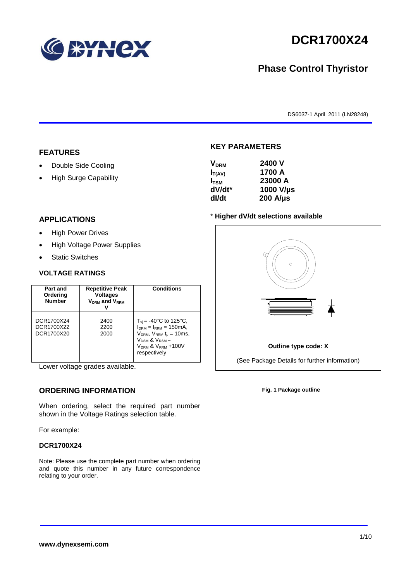

# **DCR1700X24**

# **Phase Control Thyristor**

DS6037-1 April 2011 (LN28248)

#### **FEATURES**

- Double Side Cooling
- High Surge Capability

#### **APPLICATIONS**

- High Power Drives
- High Voltage Power Supplies
- Static Switches

#### **VOLTAGE RATINGS**

| Part and<br>Ordering<br><b>Number</b>  | <b>Repetitive Peak</b><br><b>Voltages</b><br>V <sub>DRM</sub> and V <sub>RRM</sub> | <b>Conditions</b>                                                                                                                                                                    |
|----------------------------------------|------------------------------------------------------------------------------------|--------------------------------------------------------------------------------------------------------------------------------------------------------------------------------------|
| DCR1700X24<br>DCR1700X22<br>DCR1700X20 | 2400<br>2200<br>2000                                                               | $T_{vi}$ = -40°C to 125°C,<br>$I_{DRM} = I_{RRM} = 150 \text{mA}$<br>$V_{DRM}$ , $V_{RRM}$ $t_{p}$ = 10ms,<br>$V_{DSM}$ & $V_{RSM}$ =<br>$V_{DRM}$ & $V_{RRM}$ +100V<br>respectively |

Lower voltage grades available.

#### **ORDERING INFORMATION**

When ordering, select the required part number shown in the Voltage Ratings selection table.

For example:

#### **DCR1700X24**

Note: Please use the complete part number when ordering and quote this number in any future correspondence relating to your order.



**KEY PARAMETERS**

#### \* **Higher dV/dt selections available**



**Fig. 1 Package outline**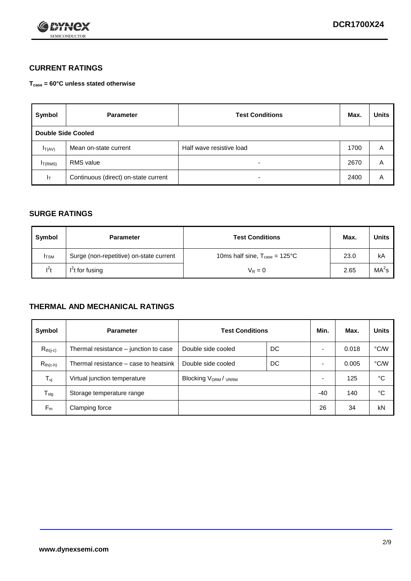

## **CURRENT RATINGS**

**Tcase = 60°C unless stated otherwise**

| Symbol             | <b>Parameter</b>                     | <b>Test Conditions</b>   | Max. | <b>Units</b> |
|--------------------|--------------------------------------|--------------------------|------|--------------|
| Double Side Cooled |                                      |                          |      |              |
| $I_{T(AV)}$        | Mean on-state current                | Half wave resistive load | 1700 | A            |
| $I_{T(RMS)}$       | RMS value                            | $\overline{\phantom{a}}$ | 2670 | Α            |
| Iт                 | Continuous (direct) on-state current | $\overline{\phantom{a}}$ | 2400 | Α            |

#### **SURGE RATINGS**

| Symbol       | <b>Parameter</b>                        | <b>Test Conditions</b>                           | Max. | <b>Units</b>      |
|--------------|-----------------------------------------|--------------------------------------------------|------|-------------------|
| <b>I</b> TSM | Surge (non-repetitive) on-state current | 10ms half sine, $T_{\text{case}} = 125^{\circ}C$ | 23.0 | kA                |
| $l^2t$       | $I2t$ for fusing                        | $V_R = 0$                                        | 2.65 | MA <sup>2</sup> s |

#### **THERMAL AND MECHANICAL RATINGS**

| Symbol           | <b>Parameter</b>                      | <b>Test Conditions</b>    |    | Min.  | Max.  | <b>Units</b> |
|------------------|---------------------------------------|---------------------------|----|-------|-------|--------------|
| $R_{th(j-c)}$    | Thermal resistance – junction to case | Double side cooled        | DC |       | 0.018 | °C/W         |
| $R_{th(c-h)}$    | Thermal resistance – case to heatsink | Double side cooled        | DC |       | 0.005 | °C/W         |
| $T_{\nu j}$      | Virtual junction temperature          | <b>Blocking VDRM/VRRM</b> |    |       | 125   | °C           |
| $T_{\text{stg}}$ | Storage temperature range             |                           |    | $-40$ | 140   | °C           |
| $F_m$            | Clamping force                        |                           |    | 26    | 34    | kN           |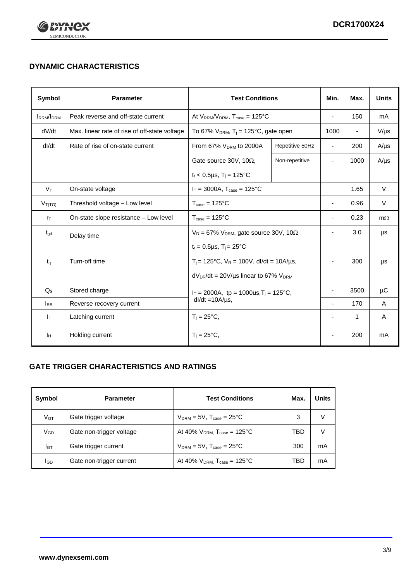

# **DYNAMIC CHARACTERISTICS**

| Symbol            | <b>Parameter</b>                                              | <b>Test Conditions</b>                                       |                 | Min.                     | Max.                     | <b>Units</b> |
|-------------------|---------------------------------------------------------------|--------------------------------------------------------------|-----------------|--------------------------|--------------------------|--------------|
| <b>IRRM</b> /IDRM | Peak reverse and off-state current                            | At $V_{RRM}/V_{DRM}$ , $T_{case} = 125^{\circ}C$             |                 | $\overline{\phantom{a}}$ | 150                      | mA           |
| dV/dt             | Max. linear rate of rise of off-state voltage                 | To 67% $V_{DRM}$ , T <sub>i</sub> = 125°C, gate open         |                 | 1000                     | $\overline{\phantom{a}}$ | $V/\mu s$    |
| dl/dt             | Rate of rise of on-state current                              | From 67% $V_{DRM}$ to 2000A                                  | Repetitive 50Hz | $\overline{\phantom{a}}$ | 200                      | $A/\mu s$    |
|                   |                                                               | Gate source 30V, 10 $\Omega$ ,                               | Non-repetitive  | $\overline{\phantom{a}}$ | 1000                     | $A/\mu s$    |
|                   |                                                               | $t_r$ < 0.5µs, T <sub>i</sub> = 125°C                        |                 |                          |                          |              |
| $V_T$             | On-state voltage                                              | $I_T = 3000A$ , $T_{case} = 125^{\circ}C$                    |                 |                          | 1.65                     | $\vee$       |
| $V_{T(TO)}$       | Threshold voltage - Low level                                 | $T_{\text{case}} = 125^{\circ}C$                             |                 | $\blacksquare$           | 0.96                     | $\vee$       |
| $r_{\text{T}}$    | On-state slope resistance - Low level                         | $T_{\text{case}} = 125^{\circ}C$                             |                 | $\overline{a}$           | 0.23                     | $m\Omega$    |
| $t_{\rm gd}$      | Delay time                                                    | $V_D = 67\%$ V <sub>DRM</sub> , gate source 30V, 10 $\Omega$ |                 | $\overline{\phantom{a}}$ | 3.0                      | μs           |
|                   |                                                               | $t_r = 0.5 \mu s$ , $T_i = 25^{\circ}C$                      |                 |                          |                          |              |
| $t_q$             | Turn-off time                                                 | $T_i$ = 125°C, $V_R$ = 100V, dl/dt = 10A/µs,                 |                 | $\overline{\phantom{a}}$ | 300                      | μs           |
|                   |                                                               | $dV_{DR}/dt = 20V/\mu s$ linear to 67% $V_{DRM}$             |                 |                          |                          |              |
| $Q_{\rm S}$       | Stored charge<br>$I_T = 2000A$ , tp = 1000us, $T_i = 125$ °C, |                                                              |                 | 3500                     | μC                       |              |
| $I_{RR}$          | Reverse recovery current                                      | $dl/dt = 10A/\mu s$ ,                                        |                 | $\blacksquare$           | 170                      | A            |
| ΙL.               | Latching current                                              | $T_i = 25^{\circ}C,$                                         |                 | $\overline{\phantom{a}}$ | 1                        | A            |
| Iн                | Holding current                                               | $T_i = 25^{\circ}C,$                                         |                 |                          | 200                      | mA           |

## **GATE TRIGGER CHARACTERISTICS AND RATINGS**

| Symbol          | <b>Parameter</b>         | <b>Test Conditions</b>                | Max. | Units |
|-----------------|--------------------------|---------------------------------------|------|-------|
| V <sub>GT</sub> | Gate trigger voltage     | $V_{DRM}$ = 5V, $T_{case}$ = 25°C     | 3    | V     |
| $V_{GD}$        | Gate non-trigger voltage | At 40% $V_{DRM}$ , $T_{case}$ = 125°C | TBD  | V     |
| Iст             | Gate trigger current     | $V_{DRM}$ = 5V, $T_{case}$ = 25°C     | 300  | mA    |
| <b>I</b> GD     | Gate non-trigger current | At 40% $V_{DRM}$ , $T_{case}$ = 125°C | TBD  | mA    |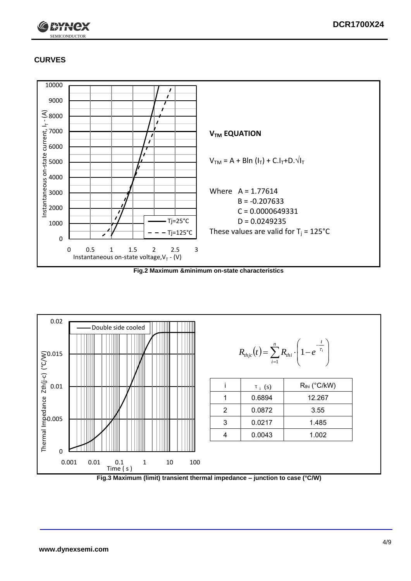

# **CURVES**



**Fig.2 Maximum &minimum on-state characteristics**



**Fig.3 Maximum (limit) transient thermal impedance – junction to case (°C/W)**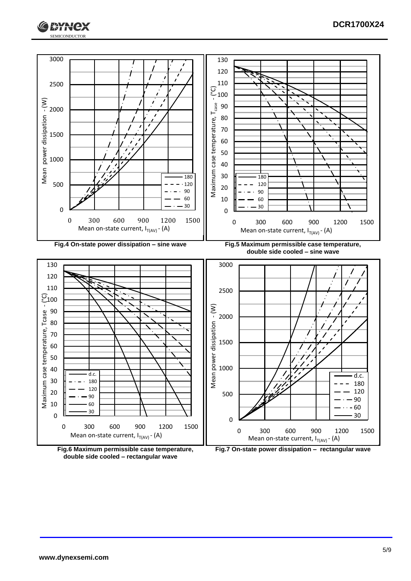





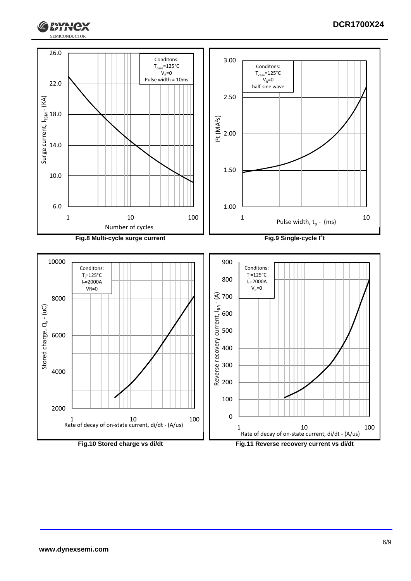



1 10 100 Rate of decay of on-state current, di/dt - (A/us)

**Fig.10 Stored charge vs di/dt Fig.11 Reverse recovery current vs di/dt** Rate of decay of on-state current, di/dt - (A/us)

1 10 100

**RYNCX**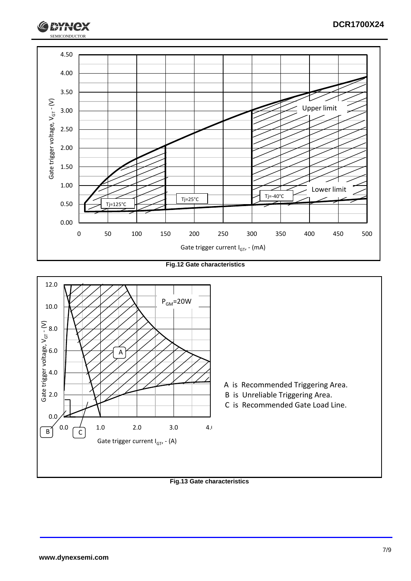

**Fig.12 Gate characteristics**



**Fig.13 Gate characteristics**

SEMICONDUCTOR

**RYH**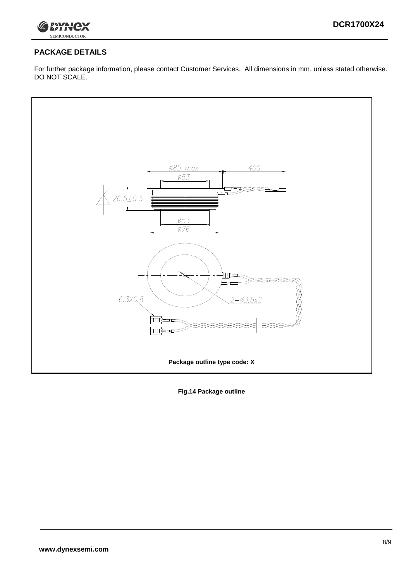

## **PACKAGE DETAILS**

For further package information, please contact Customer Services. All dimensions in mm, unless stated otherwise. DO NOT SCALE.



**Fig.14 Package outline**